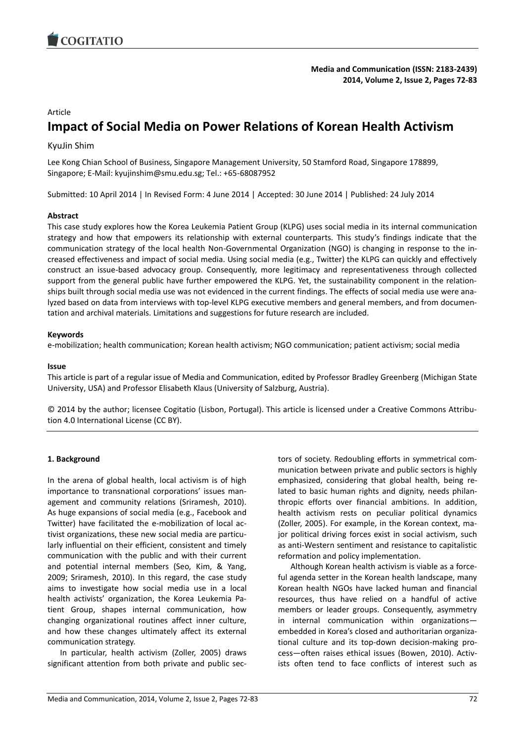

#### Article

# **Impact of Social Media on Power Relations of Korean Health Activism**

## KyuJin Shim

Lee Kong Chian School of Business, Singapore Management University, 50 Stamford Road, Singapore 178899, Singapore; E-Mail: kyujinshim@smu.edu.sg; Tel.: +65-68087952

Submitted: 10 April 2014 | In Revised Form: 4 June 2014 | Accepted: 30 June 2014 | Published: 24 July 2014

#### **Abstract**

This case study explores how the Korea Leukemia Patient Group (KLPG) uses social media in its internal communication strategy and how that empowers its relationship with external counterparts. This study's findings indicate that the communication strategy of the local health Non-Governmental Organization (NGO) is changing in response to the increased effectiveness and impact of social media. Using social media (e.g., Twitter) the KLPG can quickly and effectively construct an issue-based advocacy group. Consequently, more legitimacy and representativeness through collected support from the general public have further empowered the KLPG. Yet, the sustainability component in the relationships built through social media use was not evidenced in the current findings. The effects of social media use were analyzed based on data from interviews with top-level KLPG executive members and general members, and from documentation and archival materials. Limitations and suggestions for future research are included.

#### **Keywords**

e-mobilization; health communication; Korean health activism; NGO communication; patient activism; social media

#### **Issue**

This article is part of a regular issue of Media and Communication, edited by Professor Bradley Greenberg (Michigan State University, USA) and Professor Elisabeth Klaus (University of Salzburg, Austria).

© 2014 by the author; licensee Cogitatio (Lisbon, Portugal). This article is licensed under a Creative Commons Attribution 4.0 International License (CC BY).

## **1. Background**

In the arena of global health, local activism is of high importance to transnational corporations' issues management and community relations (Sriramesh, 2010). As huge expansions of social media (e.g., Facebook and Twitter) have facilitated the e-mobilization of local activist organizations, these new social media are particularly influential on their efficient, consistent and timely communication with the public and with their current and potential internal members (Seo, Kim, & Yang, 2009; Sriramesh, 2010). In this regard, the case study aims to investigate how social media use in a local health activists' organization, the Korea Leukemia Patient Group, shapes internal communication, how changing organizational routines affect inner culture, and how these changes ultimately affect its external communication strategy.

In particular, health activism (Zoller, 2005) draws significant attention from both private and public sectors of society. Redoubling efforts in symmetrical communication between private and public sectors is highly emphasized, considering that global health, being related to basic human rights and dignity, needs philanthropic efforts over financial ambitions. In addition, health activism rests on peculiar political dynamics (Zoller, 2005). For example, in the Korean context, major political driving forces exist in social activism, such as anti-Western sentiment and resistance to capitalistic reformation and policy implementation.

Although Korean health activism is viable as a forceful agenda setter in the Korean health landscape, many Korean health NGOs have lacked human and financial resources, thus have relied on a handful of active members or leader groups. Consequently, asymmetry in internal communication within organizations embedded in Korea's closed and authoritarian organizational culture and its top-down decision-making process—often raises ethical issues (Bowen, 2010). Activists often tend to face conflicts of interest such as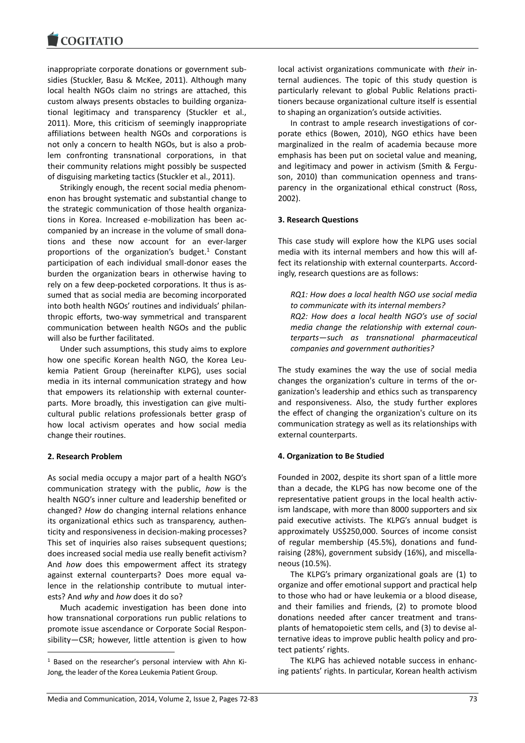inappropriate corporate donations or government subsidies (Stuckler, Basu & McKee, 2011). Although many local health NGOs claim no strings are attached, this custom always presents obstacles to building organizational legitimacy and transparency (Stuckler et al., 2011). More, this criticism of seemingly inappropriate affiliations between health NGOs and corporations is not only a concern to health NGOs, but is also a problem confronting transnational corporations, in that their community relations might possibly be suspected of disguising marketing tactics (Stuckler et al., 2011).

Strikingly enough, the recent social media phenomenon has brought systematic and substantial change to the strategic communication of those health organizations in Korea. Increased e-mobilization has been accompanied by an increase in the volume of small donations and these now account for an ever-larger proportions of the organization's budget.<sup>1</sup> Constant participation of each individual small-donor eases the burden the organization bears in otherwise having to rely on a few deep-pocketed corporations. It thus is assumed that as social media are becoming incorporated into both health NGOs' routines and individuals' philanthropic efforts, two-way symmetrical and transparent communication between health NGOs and the public will also be further facilitated.

Under such assumptions, this study aims to explore how one specific Korean health NGO, the Korea Leukemia Patient Group (hereinafter KLPG), uses social media in its internal communication strategy and how that empowers its relationship with external counterparts. More broadly, this investigation can give multicultural public relations professionals better grasp of how local activism operates and how social media change their routines.

## **2. Research Problem**

**.** 

As social media occupy a major part of a health NGO's communication strategy with the public, *how* is the health NGO's inner culture and leadership benefited or changed? *How* do changing internal relations enhance its organizational ethics such as transparency, authenticity and responsiveness in decision-making processes? This set of inquiries also raises subsequent questions; does increased social media use really benefit activism? And *how* does this empowerment affect its strategy against external counterparts? Does more equal valence in the relationship contribute to mutual interests? And *why* and *how* does it do so?

Much academic investigation has been done into how transnational corporations run public relations to promote issue ascendance or Corporate Social Responsibility—CSR; however, little attention is given to how local activist organizations communicate with *their* internal audiences. The topic of this study question is particularly relevant to global Public Relations practitioners because organizational culture itself is essential to shaping an organization's outside activities.

In contrast to ample research investigations of corporate ethics (Bowen, 2010), NGO ethics have been marginalized in the realm of academia because more emphasis has been put on societal value and meaning, and legitimacy and power in activism (Smith & Ferguson, 2010) than communication openness and transparency in the organizational ethical construct (Ross, 2002).

#### **3. Research Questions**

This case study will explore how the KLPG uses social media with its internal members and how this will affect its relationship with external counterparts. Accordingly, research questions are as follows:

*RQ1: How does a local health NGO use social media to communicate with its internal members? RQ2: How does a local health NGO's use of social media change the relationship with external counterparts—such as transnational pharmaceutical companies and government authorities?*

The study examines the way the use of social media changes the organization's culture in terms of the organization's leadership and ethics such as transparency and responsiveness. Also, the study further explores the effect of changing the organization's culture on its communication strategy as well as its relationships with external counterparts.

#### **4. Organization to Be Studied**

Founded in 2002, despite its short span of a little more than a decade, the KLPG has now become one of the representative patient groups in the local health activism landscape, with more than 8000 supporters and six paid executive activists. The KLPG's annual budget is approximately US\$250,000. Sources of income consist of regular membership (45.5%), donations and fundraising (28%), government subsidy (16%), and miscellaneous (10.5%).

The KLPG's primary organizational goals are (1) to organize and offer emotional support and practical help to those who had or have leukemia or a blood disease, and their families and friends, (2) to promote blood donations needed after cancer treatment and transplants of hematopoietic stem cells, and (3) to devise alternative ideas to improve public health policy and protect patients' rights.

The KLPG has achieved notable success in enhancing patients' rights. In particular, Korean health activism

<sup>1</sup> Based on the researcher's personal interview with Ahn Ki-Jong, the leader of the Korea Leukemia Patient Group.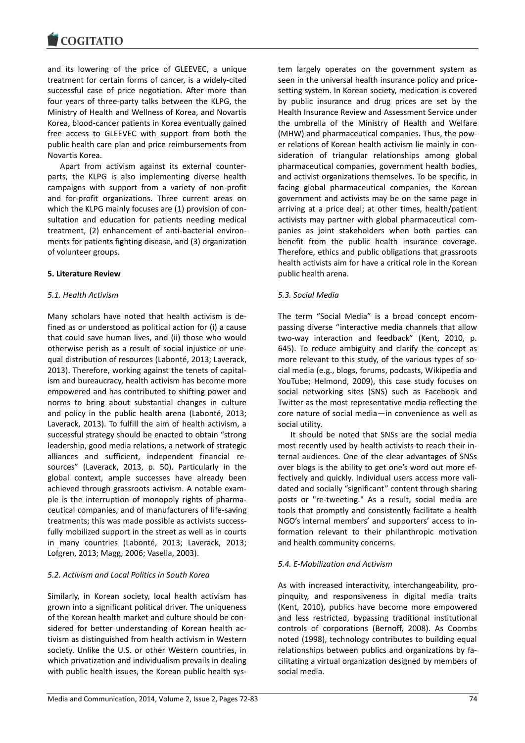and its lowering of the price of GLEEVEC, a unique treatment for certain forms of cancer, is a widely-cited successful case of price negotiation. After more than four years of three-party talks between the KLPG, the Ministry of Health and Wellness of Korea, and Novartis Korea, blood-cancer patients in Korea eventually gained free access to GLEEVEC with support from both the public health care plan and price reimbursements from Novartis Korea.

Apart from activism against its external counterparts, the KLPG is also implementing diverse health campaigns with support from a variety of non-profit and for-profit organizations. Three current areas on which the KLPG mainly focuses are (1) provision of consultation and education for patients needing medical treatment, (2) enhancement of anti-bacterial environments for patients fighting disease, and (3) organization of volunteer groups.

## **5. Literature Review**

# *5.1. Health Activism*

Many scholars have noted that health activism is defined as or understood as political action for (i) a cause that could save human lives, and (ii) those who would otherwise perish as a result of social injustice or unequal distribution of resources (Labonté, 2013; Laverack, 2013). Therefore, working against the tenets of capitalism and bureaucracy, health activism has become more empowered and has contributed to shifting power and norms to bring about substantial changes in culture and policy in the public health arena (Labonté, 2013; Laverack, 2013). To fulfill the aim of health activism, a successful strategy should be enacted to obtain "strong leadership, good media relations, a network of strategic alliances and sufficient, independent financial resources" (Laverack, 2013, p. 50). Particularly in the global context, ample successes have already been achieved through grassroots activism. A notable example is the interruption of monopoly rights of pharmaceutical companies, and of manufacturers of life-saving treatments; this was made possible as activists successfully mobilized support in the street as well as in courts in many countries (Labonté, 2013; Laverack, 2013; Lofgren, 2013; Magg, 2006; Vasella, 2003).

## *5.2. Activism and Local Politics in South Korea*

Similarly, in Korean society, local health activism has grown into a significant political driver. The uniqueness of the Korean health market and culture should be considered for better understanding of Korean health activism as distinguished from health activism in Western society. Unlike the U.S. or other Western countries, in which privatization and individualism prevails in dealing with public health issues, the Korean public health system largely operates on the government system as seen in the universal health insurance policy and pricesetting system. In Korean society, medication is covered by public insurance and drug prices are set by the Health Insurance Review and Assessment Service under the umbrella of the Ministry of Health and Welfare (MHW) and pharmaceutical companies. Thus, the power relations of Korean health activism lie mainly in consideration of triangular relationships among global pharmaceutical companies, government health bodies, and activist organizations themselves. To be specific, in facing global pharmaceutical companies, the Korean government and activists may be on the same page in arriving at a price deal; at other times, health/patient activists may partner with global pharmaceutical companies as joint stakeholders when both parties can benefit from the public health insurance coverage. Therefore, ethics and public obligations that grassroots health activists aim for have a critical role in the Korean public health arena.

## *5.3. Social Media*

The term "Social Media" is a broad concept encompassing diverse "interactive media channels that allow two-way interaction and feedback" (Kent, 2010, p. 645). To reduce ambiguity and clarify the concept as more relevant to this study, of the various types of social media (e.g., blogs, forums, podcasts, Wikipedia and YouTube; Helmond, 2009), this case study focuses on social networking sites (SNS) such as Facebook and Twitter as the most representative media reflecting the core nature of social media—in convenience as well as social utility.

It should be noted that SNSs are the social media most recently used by health activists to reach their internal audiences. One of the clear advantages of SNSs over blogs is the ability to get one's word out more effectively and quickly. Individual users access more validated and socially "significant" content through sharing posts or "re-tweeting." As a result, social media are tools that promptly and consistently facilitate a health NGO's internal members' and supporters' access to information relevant to their philanthropic motivation and health community concerns.

## *5.4. E-Mobilization and Activism*

As with increased interactivity, interchangeability, propinquity, and responsiveness in digital media traits (Kent, 2010), publics have become more empowered and less restricted, bypassing traditional institutional controls of corporations (Bernoff, 2008). As Coombs noted (1998), technology contributes to building equal relationships between publics and organizations by facilitating a virtual organization designed by members of social media.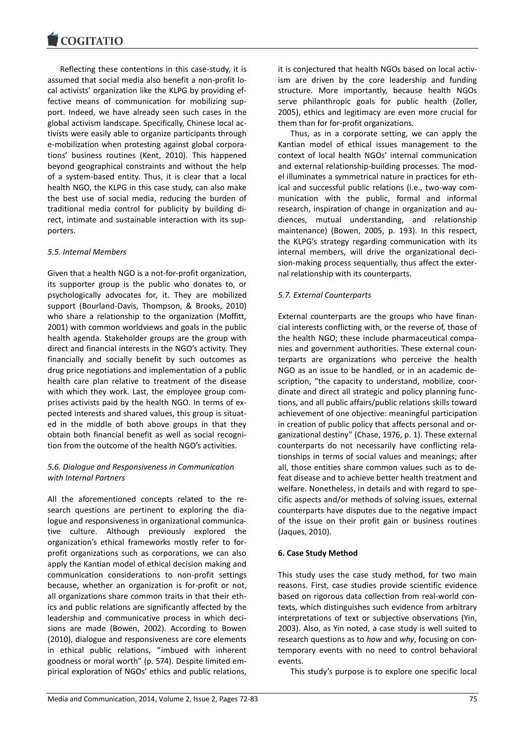Reflecting these contentions in this case-study, it is assumed that social media also benefit a non-profit local activists' organization like the KLPG by providing effective means of communication for mobilizing support. Indeed, we have already seen such cases in the global activism landscape. Specifically, Chinese local activists were easily able to organize participants through e-mobilization when protesting against global corporations' business routines (Kent, 2010). This happened beyond geographical constraints and without the help of a system-based entity. Thus, it is clear that a local health NGO, the KLPG in this case study, can also make the best use of social media, reducing the burden of traditional media control for publicity by building direct, intimate and sustainable interaction with its supporters.

## *5.5. Internal Members*

Given that a health NGO is a not-for-profit organization, its supporter group is the public who donates to, or psychologically advocates for, it. They are mobilized support (Bourland-Davis, Thompson, & Brooks, 2010) who share a relationship to the organization (Moffitt, 2001) with common worldviews and goals in the public health agenda. Stakeholder groups are the group with direct and financial interests in the NGO's activity. They financially and socially benefit by such outcomes as drug price negotiations and implementation of a public health care plan relative to treatment of the disease with which they work. Last, the employee group comprises activists paid by the health NGO. In terms of expected interests and shared values, this group is situated in the middle of both above groups in that they obtain both financial benefit as well as social recognition from the outcome of the health NGO's activities.

# *5.6. Dialogue and Responsiveness in Communication with Internal Partners*

All the aforementioned concepts related to the research questions are pertinent to exploring the dialogue and responsiveness in organizational communicative culture. Although previously explored the organization's ethical frameworks mostly refer to forprofit organizations such as corporations, we can also apply the Kantian model of ethical decision making and communication considerations to non-profit settings because, whether an organization is for-profit or not, all organizations share common traits in that their ethics and public relations are significantly affected by the leadership and communicative process in which decisions are made (Bowen, 2002). According to Bowen (2010), dialogue and responsiveness are core elements in ethical public relations, "imbued with inherent goodness or moral worth" (p. 574). Despite limited empirical exploration of NGOs' ethics and public relations, it is conjectured that health NGOs based on local activism are driven by the core leadership and funding structure. More importantly, because health NGOs serve philanthropic goals for public health (Zoller, 2005), ethics and legitimacy are even more crucial for them than for for-profit organizations.

Thus, as in a corporate setting, we can apply the Kantian model of ethical issues management to the context of local health NGOs' internal communication and external relationship-building processes. The model illuminates a symmetrical nature in practices for ethical and successful public relations (i.e., two-way communication with the public, formal and informal research, inspiration of change in organization and audiences, mutual understanding, and relationship maintenance) (Bowen, 2005, p. 193). In this respect, the KLPG's strategy regarding communication with its internal members, will drive the organizational decision-making process sequentially, thus affect the external relationship with its counterparts.

# *5.7. External Counterparts*

External counterparts are the groups who have financial interests conflicting with, or the reverse of, those of the health NGO; these include pharmaceutical companies and government authorities. These external counterparts are organizations who perceive the health NGO as an issue to be handled, or in an academic description, "the capacity to understand, mobilize, coordinate and direct all strategic and policy planning functions, and all public affairs/public relations skills toward achievement of one objective: meaningful participation in creation of public policy that affects personal and organizational destiny" (Chase, 1976, p. 1). These external counterparts do not necessarily have conflicting relationships in terms of social values and meanings; after all, those entities share common values such as to defeat disease and to achieve better health treatment and welfare. Nonetheless, in details and with regard to specific aspects and/or methods of solving issues, external counterparts have disputes due to the negative impact of the issue on their profit gain or business routines (Jaques, 2010).

# **6. Case Study Method**

This study uses the case study method, for two main reasons. First, case studies provide scientific evidence based on rigorous data collection from real-world contexts, which distinguishes such evidence from arbitrary interpretations of text or subjective observations (Yin, 2003). Also, as Yin noted, a case study is well suited to research questions as to *how* and *why*, focusing on contemporary events with no need to control behavioral events.

This study's purpose is to explore one specific local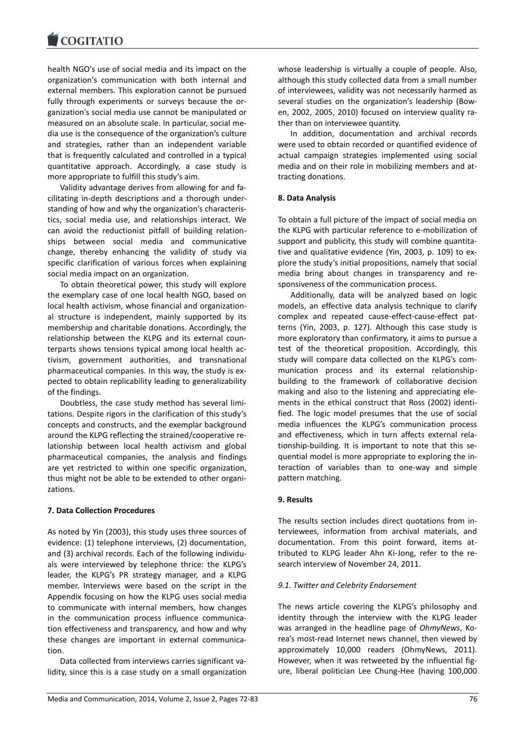health NGO's use of social media and its impact on the organization's communication with both internal and external members. This exploration cannot be pursued fully through experiments or surveys because the organization's social media use cannot be manipulated or measured on an absolute scale. In particular, social media use is the consequence of the organization's culture and strategies, rather than an independent variable that is frequently calculated and controlled in a typical quantitative approach. Accordingly, a case study is more appropriate to fulfill this study's aim.

Validity advantage derives from allowing for and facilitating in-depth descriptions and a thorough understanding of how and why the organization's characteristics, social media use, and relationships interact. We can avoid the reductionist pitfall of building relationships between social media and communicative change, thereby enhancing the validity of study via specific clarification of various forces when explaining social media impact on an organization.

To obtain theoretical power, this study will explore the exemplary case of one local health NGO, based on local health activism, whose financial and organizational structure is independent, mainly supported by its membership and charitable donations. Accordingly, the relationship between the KLPG and its external counterparts shows tensions typical among local health activism, government authorities, and transnational pharmaceutical companies. In this way, the study is expected to obtain replicability leading to generalizability of the findings.

Doubtless, the case study method has several limitations. Despite rigors in the clarification of this study's concepts and constructs, and the exemplar background around the KLPG reflecting the strained/cooperative relationship between local health activism and global pharmaceutical companies, the analysis and findings are yet restricted to within one specific organization, thus might not be able to be extended to other organizations.

## **7. Data Collection Procedures**

As noted by Yin (2003), this study uses three sources of evidence: (1) telephone interviews, (2) documentation, and (3) archival records. Each of the following individuals were interviewed by telephone thrice: the KLPG's leader, the KLPG's PR strategy manager, and a KLPG member. Interviews were based on the script in the Appendix focusing on how the KLPG uses social media to communicate with internal members, how changes in the communication process influence communication effectiveness and transparency, and how and why these changes are important in external communication.

Data collected from interviews carries significant validity, since this is a case study on a small organization whose leadership is virtually a couple of people. Also, although this study collected data from a small number of interviewees, validity was not necessarily harmed as several studies on the organization's leadership (Bowen, 2002, 2005, 2010) focused on interview quality rather than on interviewee quantity.

In addition, documentation and archival records were used to obtain recorded or quantified evidence of actual campaign strategies implemented using social media and on their role in mobilizing members and attracting donations.

# **8. Data Analysis**

To obtain a full picture of the impact of social media on the KLPG with particular reference to e-mobilization of support and publicity, this study will combine quantitative and qualitative evidence (Yin, 2003, p. 109) to explore the study's initial propositions, namely that social media bring about changes in transparency and responsiveness of the communication process.

Additionally, data will be analyzed based on logic models, an effective data analysis technique to clarify complex and repeated cause-effect-cause-effect patterns (Yin, 2003, p. 127). Although this case study is more exploratory than confirmatory, it aims to pursue a test of the theoretical proposition. Accordingly, this study will compare data collected on the KLPG's communication process and its external relationshipbuilding to the framework of collaborative decision making and also to the listening and appreciating elements in the ethical construct that Ross (2002) identified. The logic model presumes that the use of social media influences the KLPG's communication process and effectiveness, which in turn affects external relationship-building. It is important to note that this sequential model is more appropriate to exploring the interaction of variables than to one-way and simple pattern matching.

## **9. Results**

The results section includes direct quotations from interviewees, information from archival materials, and documentation. From this point forward, items attributed to KLPG leader Ahn Ki-Jong, refer to the research interview of November 24, 2011.

## *9.1. Twitter and Celebrity Endorsement*

The news article covering the KLPG's philosophy and identity through the interview with the KLPG leader was arranged in the headline page of *OhmyNews*, Korea's most-read Internet news channel, then viewed by approximately 10,000 readers (OhmyNews, 2011). However, when it was retweeted by the influential figure, liberal politician Lee Chung-Hee (having 100,000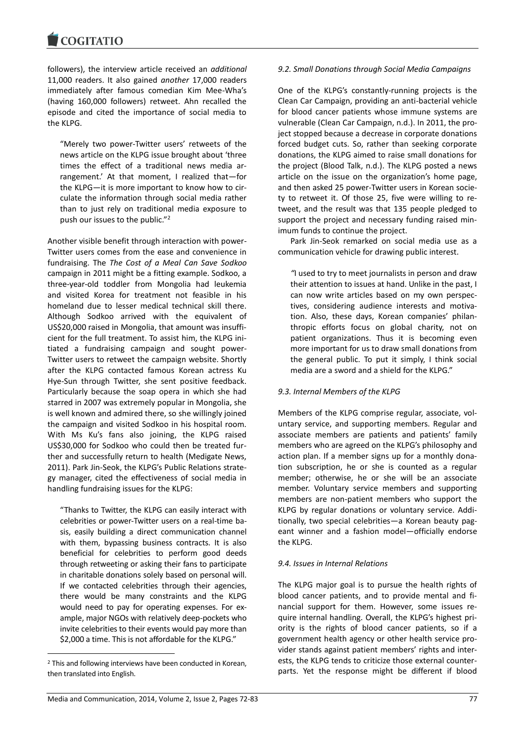followers), the interview article received an *additional*  11,000 readers. It also gained *another* 17,000 readers immediately after famous comedian Kim Mee-Wha's (having 160,000 followers) retweet. Ahn recalled the episode and cited the importance of social media to the KLPG.

"Merely two power-Twitter users' retweets of the news article on the KLPG issue brought about 'three times the effect of a traditional news media arrangement.' At that moment, I realized that—for the KLPG—it is more important to know how to circulate the information through social media rather than to just rely on traditional media exposure to push our issues to the public."<sup>2</sup>

Another visible benefit through interaction with power-Twitter users comes from the ease and convenience in fundraising. The *The Cost of a Meal Can Save Sodkoo* campaign in 2011 might be a fitting example. Sodkoo, a three-year-old toddler from Mongolia had leukemia and visited Korea for treatment not feasible in his homeland due to lesser medical technical skill there. Although Sodkoo arrived with the equivalent of US\$20,000 raised in Mongolia, that amount was insufficient for the full treatment. To assist him, the KLPG initiated a fundraising campaign and sought power-Twitter users to retweet the campaign website. Shortly after the KLPG contacted famous Korean actress Ku Hye-Sun through Twitter, she sent positive feedback. Particularly because the soap opera in which she had starred in 2007 was extremely popular in Mongolia, she is well known and admired there, so she willingly joined the campaign and visited Sodkoo in his hospital room. With Ms Ku's fans also joining, the KLPG raised US\$30,000 for Sodkoo who could then be treated further and successfully return to health (Medigate News, 2011). Park Jin-Seok, the KLPG's Public Relations strategy manager, cited the effectiveness of social media in handling fundraising issues for the KLPG:

"Thanks to Twitter, the KLPG can easily interact with celebrities or power-Twitter users on a real-time basis, easily building a direct communication channel with them, bypassing business contracts. It is also beneficial for celebrities to perform good deeds through retweeting or asking their fans to participate in charitable donations solely based on personal will. If we contacted celebrities through their agencies, there would be many constraints and the KLPG would need to pay for operating expenses. For example, major NGOs with relatively deep-pockets who invite celebrities to their events would pay more than \$2,000 a time. This is not affordable for the KLPG."

**.** 

## *9.2. Small Donations through Social Media Campaigns*

One of the KLPG's constantly-running projects is the Clean Car Campaign, providing an anti-bacterial vehicle for blood cancer patients whose immune systems are vulnerable (Clean Car Campaign, n.d.). In 2011, the project stopped because a decrease in corporate donations forced budget cuts. So, rather than seeking corporate donations, the KLPG aimed to raise small donations for the project (Blood Talk, n.d.). The KLPG posted a news article on the issue on the organization's home page, and then asked 25 power-Twitter users in Korean society to retweet it. Of those 25, five were willing to retweet, and the result was that 135 people pledged to support the project and necessary funding raised minimum funds to continue the project.

Park Jin-Seok remarked on social media use as a communication vehicle for drawing public interest.

*"*I used to try to meet journalists in person and draw their attention to issues at hand. Unlike in the past, I can now write articles based on my own perspectives, considering audience interests and motivation. Also, these days, Korean companies' philanthropic efforts focus on global charity, not on patient organizations. Thus it is becoming even more important for us to draw small donations from the general public. To put it simply, I think social media are a sword and a shield for the KLPG."

## *9.3. Internal Members of the KLPG*

Members of the KLPG comprise regular, associate, voluntary service, and supporting members. Regular and associate members are patients and patients' family members who are agreed on the KLPG's philosophy and action plan. If a member signs up for a monthly donation subscription, he or she is counted as a regular member; otherwise, he or she will be an associate member. Voluntary service members and supporting members are non-patient members who support the KLPG by regular donations or voluntary service. Additionally, two special celebrities—a Korean beauty pageant winner and a fashion model—officially endorse the KLPG.

## *9.4. Issues in Internal Relations*

The KLPG major goal is to pursue the health rights of blood cancer patients, and to provide mental and financial support for them. However, some issues require internal handling. Overall, the KLPG's highest priority is the rights of blood cancer patients, so if a government health agency or other health service provider stands against patient members' rights and interests, the KLPG tends to criticize those external counterparts. Yet the response might be different if blood

<sup>&</sup>lt;sup>2</sup> This and following interviews have been conducted in Korean, then translated into English.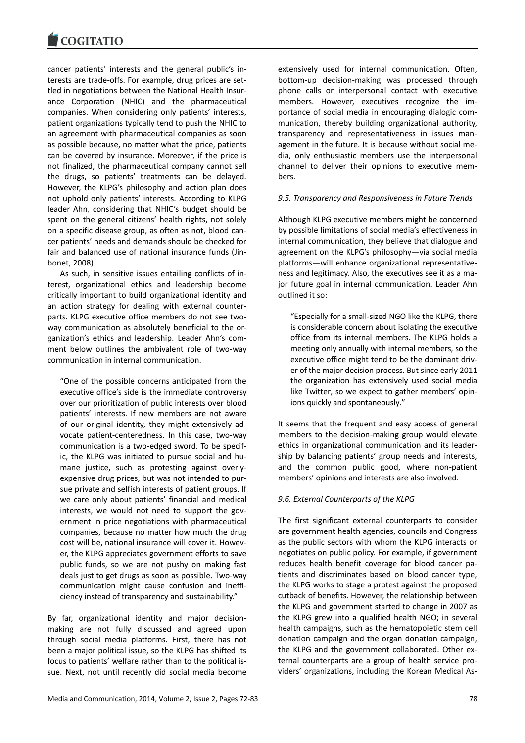

cancer patients' interests and the general public's interests are trade-offs. For example, drug prices are settled in negotiations between the National Health Insurance Corporation (NHIC) and the pharmaceutical companies. When considering only patients' interests, patient organizations typically tend to push the NHIC to an agreement with pharmaceutical companies as soon as possible because, no matter what the price, patients can be covered by insurance. Moreover, if the price is not finalized, the pharmaceutical company cannot sell the drugs, so patients' treatments can be delayed. However, the KLPG's philosophy and action plan does not uphold only patients' interests. According to KLPG leader Ahn, considering that NHIC's budget should be spent on the general citizens' health rights, not solely on a specific disease group, as often as not, blood cancer patients' needs and demands should be checked for fair and balanced use of national insurance funds (Jinbonet, 2008).

As such, in sensitive issues entailing conflicts of interest, organizational ethics and leadership become critically important to build organizational identity and an action strategy for dealing with external counterparts. KLPG executive office members do not see twoway communication as absolutely beneficial to the organization's ethics and leadership. Leader Ahn's comment below outlines the ambivalent role of two-way communication in internal communication.

"One of the possible concerns anticipated from the executive office's side is the immediate controversy over our prioritization of public interests over blood patients' interests. If new members are not aware of our original identity, they might extensively advocate patient-centeredness. In this case, two-way communication is a two-edged sword. To be specific, the KLPG was initiated to pursue social and humane justice, such as protesting against overlyexpensive drug prices, but was not intended to pursue private and selfish interests of patient groups. If we care only about patients' financial and medical interests, we would not need to support the government in price negotiations with pharmaceutical companies, because no matter how much the drug cost will be, national insurance will cover it. However, the KLPG appreciates government efforts to save public funds, so we are not pushy on making fast deals just to get drugs as soon as possible. Two-way communication might cause confusion and inefficiency instead of transparency and sustainability."

By far, organizational identity and major decisionmaking are not fully discussed and agreed upon through social media platforms. First, there has not been a major political issue, so the KLPG has shifted its focus to patients' welfare rather than to the political issue. Next, not until recently did social media become

extensively used for internal communication. Often, bottom-up decision-making was processed through phone calls or interpersonal contact with executive members. However, executives recognize the importance of social media in encouraging dialogic communication, thereby building organizational authority, transparency and representativeness in issues management in the future. It is because without social media, only enthusiastic members use the interpersonal channel to deliver their opinions to executive members.

#### *9.5. Transparency and Responsiveness in Future Trends*

Although KLPG executive members might be concerned by possible limitations of social media's effectiveness in internal communication, they believe that dialogue and agreement on the KLPG's philosophy—via social media platforms—will enhance organizational representativeness and legitimacy. Also, the executives see it as a major future goal in internal communication. Leader Ahn outlined it so:

"Especially for a small-sized NGO like the KLPG, there is considerable concern about isolating the executive office from its internal members. The KLPG holds a meeting only annually with internal members, so the executive office might tend to be the dominant driver of the major decision process. But since early 2011 the organization has extensively used social media like Twitter, so we expect to gather members' opinions quickly and spontaneously."

It seems that the frequent and easy access of general members to the decision-making group would elevate ethics in organizational communication and its leadership by balancing patients' group needs and interests, and the common public good, where non-patient members' opinions and interests are also involved.

#### *9.6. External Counterparts of the KLPG*

The first significant external counterparts to consider are government health agencies, councils and Congress as the public sectors with whom the KLPG interacts or negotiates on public policy. For example, if government reduces health benefit coverage for blood cancer patients and discriminates based on blood cancer type, the KLPG works to stage a protest against the proposed cutback of benefits. However, the relationship between the KLPG and government started to change in 2007 as the KLPG grew into a qualified health NGO; in several health campaigns, such as the hematopoietic stem cell donation campaign and the organ donation campaign, the KLPG and the government collaborated. Other external counterparts are a group of health service providers' organizations, including the Korean Medical As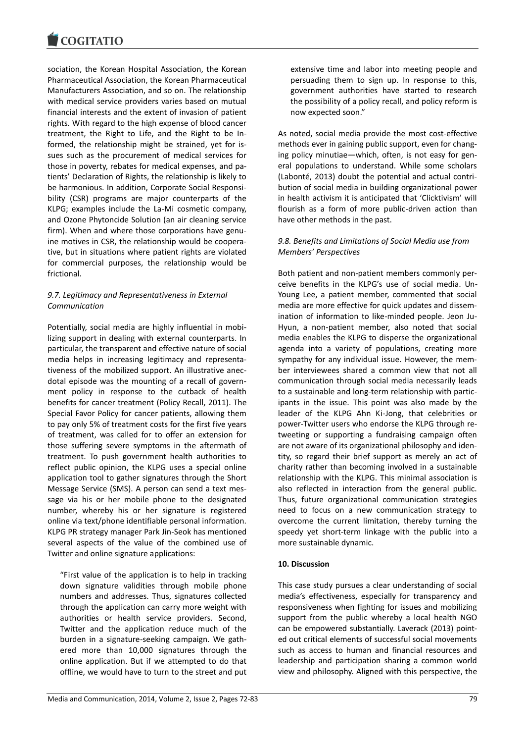sociation, the Korean Hospital Association, the Korean Pharmaceutical Association, the Korean Pharmaceutical Manufacturers Association, and so on. The relationship with medical service providers varies based on mutual financial interests and the extent of invasion of patient rights. With regard to the high expense of blood cancer treatment, the Right to Life, and the Right to be Informed, the relationship might be strained, yet for issues such as the procurement of medical services for those in poverty, rebates for medical expenses, and patients' Declaration of Rights, the relationship is likely to be harmonious. In addition, Corporate Social Responsibility (CSR) programs are major counterparts of the KLPG; examples include the La-Mi cosmetic company, and Ozone Phytoncide Solution (an air cleaning service firm). When and where those corporations have genuine motives in CSR, the relationship would be cooperative, but in situations where patient rights are violated for commercial purposes, the relationship would be frictional.

# *9.7. Legitimacy and Representativeness in External Communication*

Potentially, social media are highly influential in mobilizing support in dealing with external counterparts. In particular, the transparent and effective nature of social media helps in increasing legitimacy and representativeness of the mobilized support. An illustrative anecdotal episode was the mounting of a recall of government policy in response to the cutback of health benefits for cancer treatment (Policy Recall, 2011). The Special Favor Policy for cancer patients, allowing them to pay only 5% of treatment costs for the first five years of treatment, was called for to offer an extension for those suffering severe symptoms in the aftermath of treatment. To push government health authorities to reflect public opinion, the KLPG uses a special online application tool to gather signatures through the Short Message Service (SMS). A person can send a text message via his or her mobile phone to the designated number, whereby his or her signature is registered online via text/phone identifiable personal information. KLPG PR strategy manager Park Jin-Seok has mentioned several aspects of the value of the combined use of Twitter and online signature applications:

"First value of the application is to help in tracking down signature validities through mobile phone numbers and addresses. Thus, signatures collected through the application can carry more weight with authorities or health service providers. Second, Twitter and the application reduce much of the burden in a signature-seeking campaign. We gathered more than 10,000 signatures through the online application. But if we attempted to do that offline, we would have to turn to the street and put As noted, social media provide the most cost-effective methods ever in gaining public support, even for changing policy minutiae—which, often, is not easy for general populations to understand. While some scholars (Labonté, 2013) doubt the potential and actual contribution of social media in building organizational power in health activism it is anticipated that 'Clicktivism' will flourish as a form of more public-driven action than have other methods in the past.

# *9.8. Benefits and Limitations of Social Media use from Members' Perspectives*

Both patient and non-patient members commonly perceive benefits in the KLPG's use of social media. Un-Young Lee, a patient member, commented that social media are more effective for quick updates and dissemination of information to like-minded people. Jeon Ju-Hyun, a non-patient member, also noted that social media enables the KLPG to disperse the organizational agenda into a variety of populations, creating more sympathy for any individual issue. However, the member interviewees shared a common view that not all communication through social media necessarily leads to a sustainable and long-term relationship with participants in the issue. This point was also made by the leader of the KLPG Ahn Ki-Jong, that celebrities or power-Twitter users who endorse the KLPG through retweeting or supporting a fundraising campaign often are not aware of its organizational philosophy and identity, so regard their brief support as merely an act of charity rather than becoming involved in a sustainable relationship with the KLPG. This minimal association is also reflected in interaction from the general public. Thus, future organizational communication strategies need to focus on a new communication strategy to overcome the current limitation, thereby turning the speedy yet short-term linkage with the public into a more sustainable dynamic.

## **10. Discussion**

This case study pursues a clear understanding of social media's effectiveness, especially for transparency and responsiveness when fighting for issues and mobilizing support from the public whereby a local health NGO can be empowered substantially. Laverack (2013) pointed out critical elements of successful social movements such as access to human and financial resources and leadership and participation sharing a common world view and philosophy. Aligned with this perspective, the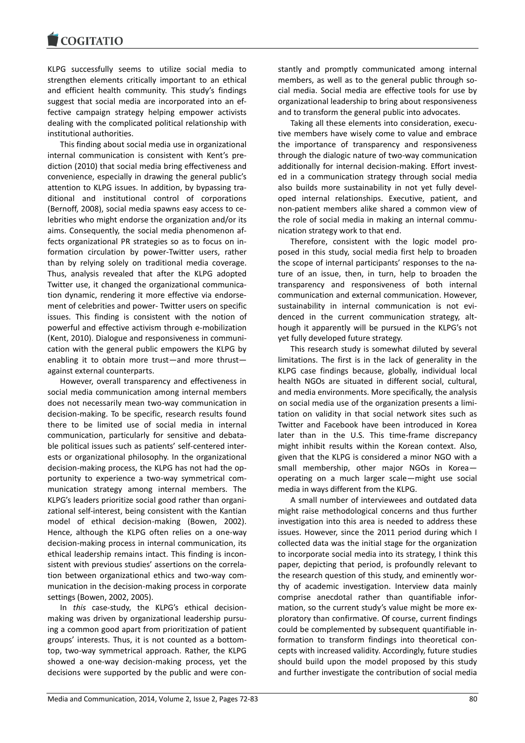KLPG successfully seems to utilize social media to strengthen elements critically important to an ethical and efficient health community. This study's findings suggest that social media are incorporated into an effective campaign strategy helping empower activists dealing with the complicated political relationship with institutional authorities.

This finding about social media use in organizational internal communication is consistent with Kent's prediction (2010) that social media bring effectiveness and convenience, especially in drawing the general public's attention to KLPG issues. In addition, by bypassing traditional and institutional control of corporations (Bernoff, 2008), social media spawns easy access to celebrities who might endorse the organization and/or its aims. Consequently, the social media phenomenon affects organizational PR strategies so as to focus on information circulation by power-Twitter users, rather than by relying solely on traditional media coverage. Thus, analysis revealed that after the KLPG adopted Twitter use, it changed the organizational communication dynamic, rendering it more effective via endorsement of celebrities and power- Twitter users on specific issues. This finding is consistent with the notion of powerful and effective activism through e-mobilization (Kent, 2010). Dialogue and responsiveness in communication with the general public empowers the KLPG by enabling it to obtain more trust—and more thrust against external counterparts.

However, overall transparency and effectiveness in social media communication among internal members does not necessarily mean two-way communication in decision-making. To be specific, research results found there to be limited use of social media in internal communication, particularly for sensitive and debatable political issues such as patients' self-centered interests or organizational philosophy. In the organizational decision-making process, the KLPG has not had the opportunity to experience a two-way symmetrical communication strategy among internal members. The KLPG's leaders prioritize social good rather than organizational self-interest, being consistent with the Kantian model of ethical decision-making (Bowen, 2002). Hence, although the KLPG often relies on a one-way decision-making process in internal communication, its ethical leadership remains intact. This finding is inconsistent with previous studies' assertions on the correlation between organizational ethics and two-way communication in the decision-making process in corporate settings (Bowen, 2002, 2005).

In *this* case-study, the KLPG's ethical decisionmaking was driven by organizational leadership pursuing a common good apart from prioritization of patient groups' interests. Thus, it is not counted as a bottomtop, two-way symmetrical approach. Rather, the KLPG showed a one-way decision-making process, yet the decisions were supported by the public and were constantly and promptly communicated among internal members, as well as to the general public through social media. Social media are effective tools for use by organizational leadership to bring about responsiveness and to transform the general public into advocates.

Taking all these elements into consideration, executive members have wisely come to value and embrace the importance of transparency and responsiveness through the dialogic nature of two-way communication additionally for internal decision-making. Effort invested in a communication strategy through social media also builds more sustainability in not yet fully developed internal relationships. Executive, patient, and non-patient members alike shared a common view of the role of social media in making an internal communication strategy work to that end.

Therefore, consistent with the logic model proposed in this study, social media first help to broaden the scope of internal participants' responses to the nature of an issue, then, in turn, help to broaden the transparency and responsiveness of both internal communication and external communication. However, sustainability in internal communication is not evidenced in the current communication strategy, although it apparently will be pursued in the KLPG's not yet fully developed future strategy.

This research study is somewhat diluted by several limitations. The first is in the lack of generality in the KLPG case findings because, globally, individual local health NGOs are situated in different social, cultural, and media environments. More specifically, the analysis on social media use of the organization presents a limitation on validity in that social network sites such as Twitter and Facebook have been introduced in Korea later than in the U.S. This time-frame discrepancy might inhibit results within the Korean context. Also, given that the KLPG is considered a minor NGO with a small membership, other major NGOs in Korea operating on a much larger scale—might use social media in ways different from the KLPG.

A small number of interviewees and outdated data might raise methodological concerns and thus further investigation into this area is needed to address these issues. However, since the 2011 period during which I collected data was the initial stage for the organization to incorporate social media into its strategy, I think this paper, depicting that period, is profoundly relevant to the research question of this study, and eminently worthy of academic investigation. Interview data mainly comprise anecdotal rather than quantifiable information, so the current study's value might be more exploratory than confirmative. Of course, current findings could be complemented by subsequent quantifiable information to transform findings into theoretical concepts with increased validity. Accordingly, future studies should build upon the model proposed by this study and further investigate the contribution of social media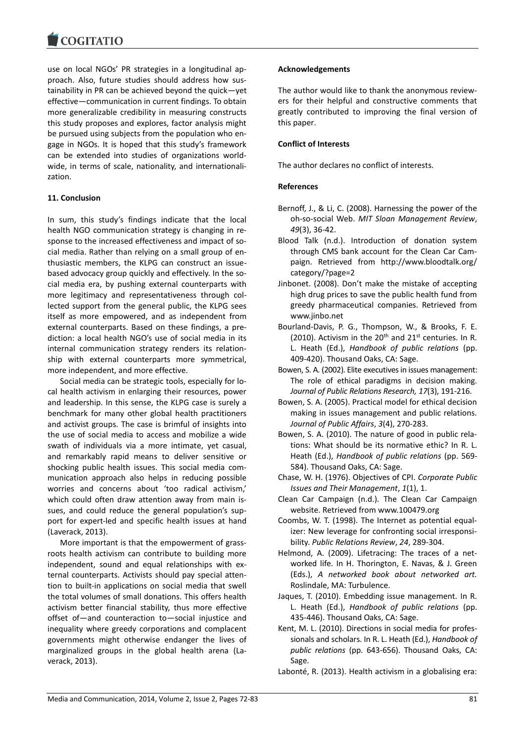use on local NGOs' PR strategies in a longitudinal approach. Also, future studies should address how sustainability in PR can be achieved beyond the quick—yet effective—communication in current findings. To obtain more generalizable credibility in measuring constructs this study proposes and explores, factor analysis might be pursued using subjects from the population who engage in NGOs. It is hoped that this study's framework can be extended into studies of organizations worldwide, in terms of scale, nationality, and internationalization.

# **11. Conclusion**

In sum, this study's findings indicate that the local health NGO communication strategy is changing in response to the increased effectiveness and impact of social media. Rather than relying on a small group of enthusiastic members, the KLPG can construct an issuebased advocacy group quickly and effectively. In the social media era, by pushing external counterparts with more legitimacy and representativeness through collected support from the general public, the KLPG sees itself as more empowered, and as independent from external counterparts. Based on these findings, a prediction: a local health NGO's use of social media in its internal communication strategy renders its relationship with external counterparts more symmetrical, more independent, and more effective.

Social media can be strategic tools, especially for local health activism in enlarging their resources, power and leadership. In this sense, the KLPG case is surely a benchmark for many other global health practitioners and activist groups. The case is brimful of insights into the use of social media to access and mobilize a wide swath of individuals via a more intimate, yet casual, and remarkably rapid means to deliver sensitive or shocking public health issues. This social media communication approach also helps in reducing possible worries and concerns about 'too radical activism,' which could often draw attention away from main issues, and could reduce the general population's support for expert-led and specific health issues at hand (Laverack, 2013).

More important is that the empowerment of grassroots health activism can contribute to building more independent, sound and equal relationships with external counterparts. Activists should pay special attention to built-in applications on social media that swell the total volumes of small donations. This offers health activism better financial stability, thus more effective offset of—and counteraction to—social injustice and inequality where greedy corporations and complacent governments might otherwise endanger the lives of marginalized groups in the global health arena (Laverack, 2013).

#### **Acknowledgements**

The author would like to thank the anonymous reviewers for their helpful and constructive comments that greatly contributed to improving the final version of this paper.

## **Conflict of Interests**

The author declares no conflict of interests.

#### **References**

- Bernoff, J., & Li, C. (2008). Harnessing the power of the oh-so-social Web. *MIT Sloan Management Review*, *49*(3), 36-42.
- Blood Talk (n.d.). Introduction of donation system through CMS bank account for the Clean Car Campaign. Retrieved from http://www.bloodtalk.org/ category/?page=2
- Jinbonet. (2008). Don't make the mistake of accepting high drug prices to save the public health fund from greedy pharmaceutical companies. Retrieved from www.jinbo.net
- Bourland-Davis, P. G., Thompson, W., & Brooks, F. E. (2010). Activism in the  $20^{th}$  and  $21^{st}$  centuries. In R. L. Heath (Ed.), *Handbook of public relations* (pp. 409-420). Thousand Oaks, CA: Sage.
- Bowen, S. A. (2002). Elite executives in issues management: The role of ethical paradigms in decision making. *Journal of Public Relations Research, 17*(3), 191-216.
- Bowen, S. A. (2005). Practical model for ethical decision making in issues management and public relations. *Journal of Public Affairs*, *3*(4), 270-283.
- Bowen, S. A. (2010). The nature of good in public relations: What should be its normative ethic? In R. L. Heath (Ed.), *Handbook of public relations* (pp. 569- 584). Thousand Oaks, CA: Sage.
- Chase, W. H. (1976). Objectives of CPI. *Corporate Public Issues and Their Management*, *1*(1), 1.
- Clean Car Campaign (n.d.). The Clean Car Campaign website. Retrieved from www.100479.org
- Coombs, W. T. (1998). The Internet as potential equalizer: New leverage for confronting social irresponsibility. *Public Relations Review*, *24*, 289-304.
- Helmond, A. (2009). Lifetracing: The traces of a networked life. In H. Thorington, E. Navas, & J. Green (Eds.), *A networked book about networked art.* Roslindale, MA: Turbulence.
- Jaques, T. (2010). Embedding issue management. In R. L. Heath (Ed.), *Handbook of public relations* (pp. 435-446). Thousand Oaks, CA: Sage.
- Kent, M. L. (2010). Directions in social media for professionals and scholars. In R. L. Heath (Ed.), *Handbook of public relations* (pp. 643-656). Thousand Oaks, CA: Sage.
- Labonté, R. (2013). Health activism in a globalising era: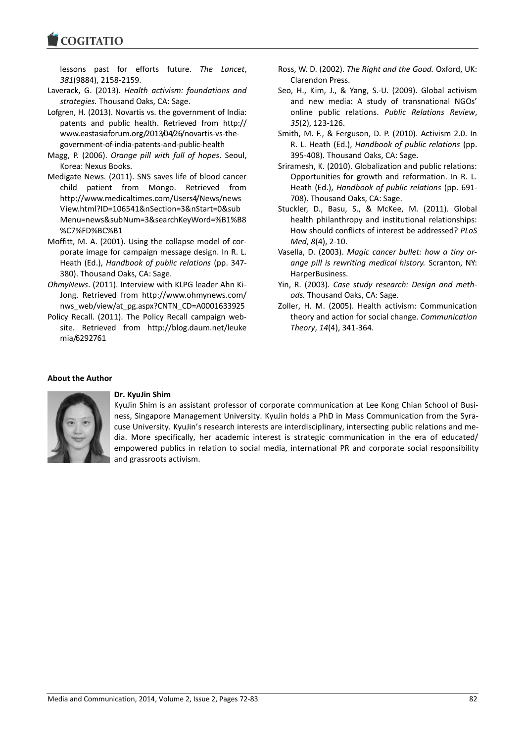**COGITATIO** 

lessons past for efforts future. *The Lancet*, *381*(9884), 2158-2159.

- Laverack, G. (2013). *Health activism: foundations and strategies.* Thousand Oaks, CA: Sage.
- Lofgren, H. (2013). Novartis vs. the government of India: patents and public health. Retrieved from [http://](http://www.eastasiaforum.org/2013/04/26/novartis-vs-the-government-of-india-patents-and-public-health/) [www.eastasiaforum.org/2013/04/26/novartis-vs-the](http://www.eastasiaforum.org/2013/04/26/novartis-vs-the-government-of-india-patents-and-public-health/)[government-of-india-patents-and-public-health](http://www.eastasiaforum.org/2013/04/26/novartis-vs-the-government-of-india-patents-and-public-health/)
- Magg, P. (2006). *Orange pill with full of hopes*. Seoul, Korea: Nexus Books.
- Medigate News. (2011). SNS saves life of blood cancer child patient from Mongo. Retrieved from http://www.medicaltimes.com/Users4/News/news View.html?ID=106541&nSection=3&nStart=0&sub Menu=news&subNum=3&searchKeyWord=%B1%B8 %C7%FD%BC%B1
- Moffitt, M. A. (2001). Using the collapse model of corporate image for campaign message design. In R. L. Heath (Ed.), *Handbook of public relations* (pp. 347- 380). Thousand Oaks, CA: Sage.
- *OhmyNews*. (2011). Interview with KLPG leader Ahn Ki-Jong. Retrieved from http://www.ohmynews.com/ nws\_web/view/at\_pg.aspx?CNTN\_CD=A0001633925
- Policy Recall. (2011). The Policy Recall campaign website. Retrieved from http://blog.daum.net/leuke mia/6292761
- Ross, W. D. (2002). *The Right and the Good.* Oxford, UK: Clarendon Press.
- Seo, H., Kim, J., & Yang, S.-U. (2009). Global activism and new media: A study of transnational NGOs' online public relations. *Public Relations Review*, *35*(2), 123-126.
- Smith, M. F., & Ferguson, D. P. (2010). Activism 2.0. In R. L. Heath (Ed.), *Handbook of public relations* (pp. 395-408). Thousand Oaks, CA: Sage.
- Sriramesh, K. (2010). Globalization and public relations: Opportunities for growth and reformation. In R. L. Heath (Ed.), *Handbook of public relations* (pp. 691- 708). Thousand Oaks, CA: Sage.
- Stuckler, D., Basu, S., & McKee, M. (2011). Global health philanthropy and institutional relationships: How should conflicts of interest be addressed? *PLoS Med*, *8*(4), 2-10.
- Vasella, D. (2003). *Magic cancer bullet: how a tiny orange pill is rewriting medical history.* Scranton, NY: HarperBusiness.
- Yin, R. (2003). *Case study research: Design and methods.* Thousand Oaks, CA: Sage.
- Zoller, H. M. (2005). Health activism: Communication theory and action for social change. *Communication Theory*, *14*(4), 341-364.

## **About the Author**



# **Dr. KyuJin Shim**

KyuJin Shim is an assistant professor of corporate communication at Lee Kong Chian School of Business, Singapore Management University. KyuJin holds a PhD in Mass Communication from the Syracuse University. KyuJin's research interests are interdisciplinary, intersecting public relations and media. More specifically, her academic interest is strategic communication in the era of educated/ empowered publics in relation to social media, international PR and corporate social responsibility and grassroots activism.